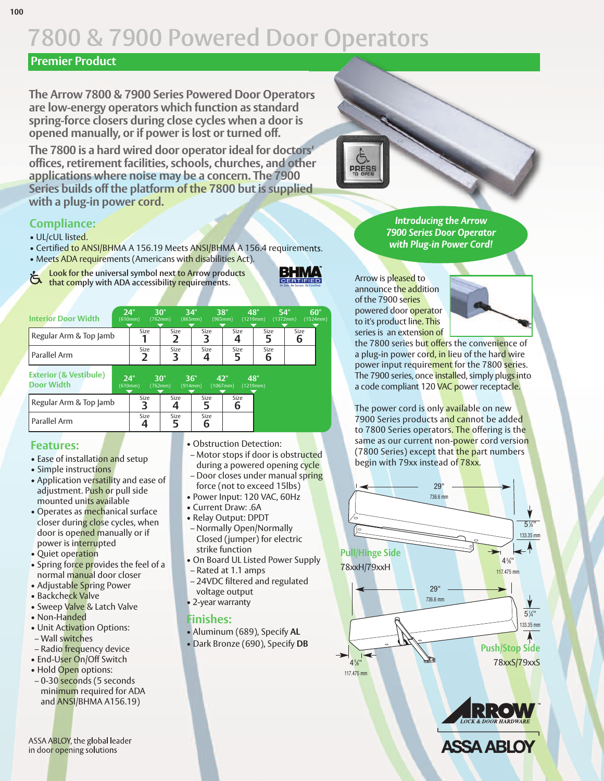### **Premier Product**

**The Arrow 7800 & 7900 Series Powered Door Operators are low-energy operators which function as standard spring-force closers during close cycles when a door is opened manually, or if power is lost or turned off.**

**The 7800 is a hard wired door operatorideal for doctors' offices,retirement facilities, schools, churches, and other applications where noise may be a concern. The 7900 Series builds offthe platform of the 7800 but is supplied with a plug-in power cord.**

# **Compliance:**

- UL/cUL listed.
- Certified to ANSI/BHMA A 156.19 Meets ANSI/BHMA A 156.4 requirements.
- Meets ADA requirements (Americans with disabilities Act).



| I Parallel Arm                                         |                                  |      |           |                 |                 |
|--------------------------------------------------------|----------------------------------|------|-----------|-----------------|-----------------|
| <b>Exterior (&amp; Vestibule)</b><br><b>Door Width</b> | 24"<br>30"<br>(610mm)<br>(762mm) | 36"  | (914mm)   | 42"<br>(1067mm) | 48"<br>(1219mm) |
| Regular Arm & Top Jamb                                 | Size                             | Size | Size      | Size            |                 |
| l Parallel Arm                                         | Size                             | Size | Size<br>6 |                 |                 |

# **Features:**

- Ease of installation and setup
- Simple instructions
- Application versatility and ease of adjustment. Push or pull side mounted units available
- Operates as mechanical surface closer during close cycles, when door is opened manually or if power is interrupted
- Quiet operation
- Spring force provides the feel of a normal manual door closer
- Adjustable Spring Power
- Backcheck Valve
- Sweep Valve & Latch Valve
- Non-Handed • Unit Activation Options:
- Wall switches
- Radio frequency device
- End-User On/Off Switch
- Hold Open options:
- 0-30 seconds (5 seconds minimum required for ADA and ANSI/BHMA A156.19)

ASSA ABLOY, the global leader in door opening solutions

- Obstruction Detection:
	- Motor stops if door is obstructed during a powered opening cycle
	- Door closes under manual spring force (not to exceed 15lbs)
	- Power Input: 120 VAC, 60Hz
	- Current Draw: .6A
	- Relay Output: DPDT
	- Normally Open/Normally Closed (jumper) for electric strike function
	- On Board UL Listed Power Supply
	- Rated at 1.1 amps
	- 24VDC filtered and regulated voltage output
- 2-year warranty

#### **Finishes:**

• Aluminum (689), Specify **AL** • Dark Bronze (690), Specify **DB**

*Introducing the Arrow 7900 Series Door Operator with Plug-in Power Cord!*

Arrow is pleased to announce the addition of the 7900 series powered door operator to it's product line. This series is an extension of



the 7800 series but offers the convenience of a plug-in power cord, in lieu of the hard wire power input requirement for the 7800 series. The 7900 series, once installed, simply plugs into a code compliant 120 VAC power receptacle.

The power cord is only available on new 7900 Series products and cannot be added to 7800 Series operators. The offering is the same as our current non-power cord version (7800 Series) except that the part numbers begin with 79xx instead of 78xx.









BHMA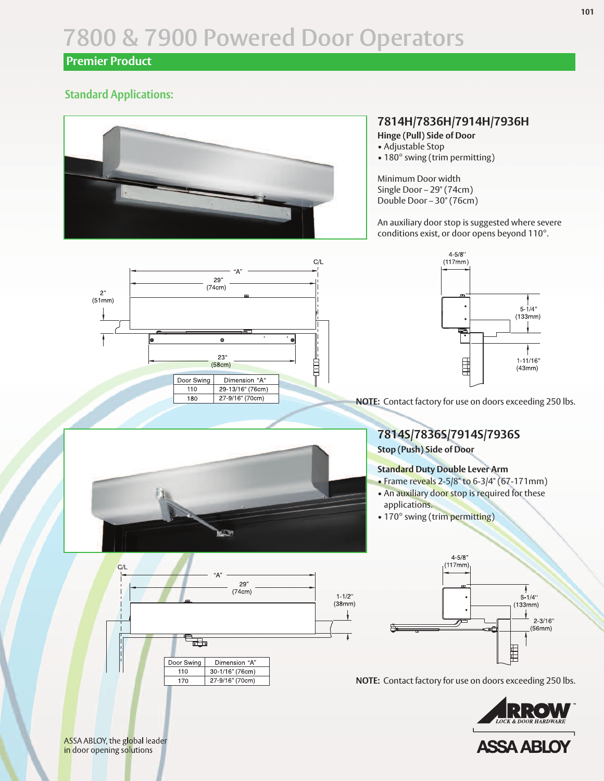### **Premier Product**

### **Standard Applications:**



#### **7814H/7836H/7914H/7936H**

**Hinge (Pull) Side of Door**

- Adjustable Stop
- 180° swing (trim permitting)

Minimum Door width Single Door – 29" (74cm) Double Door – 30" (76cm)

An auxiliary door stop is suggested where severe conditions exist, or door opens beyond 110°.





**NOTE:** Contact factory for use on doors exceeding 250 lbs.



#### **Standard Duty Double Lever Arm**

- Frame reveals 2-5/8" to 6-3/4" (67-171mm)
- An auxiliary door stop is required for these applications.
- 170° swing (trim permitting)





**NOTE:** Contact factory for use on doors exceeding 250 lbs.





ASSA ABLOY, the global leader in door opening solutions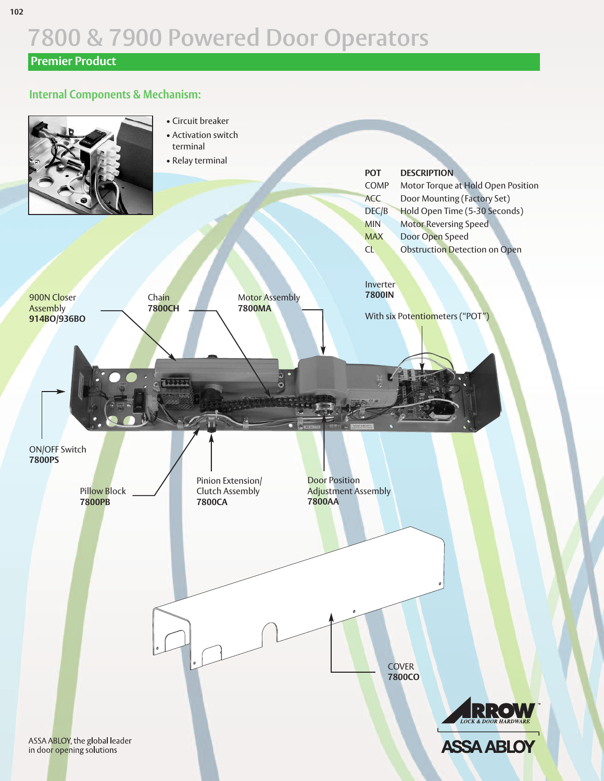# **Premier Product**

#### **Internal Components & Mechanism:**

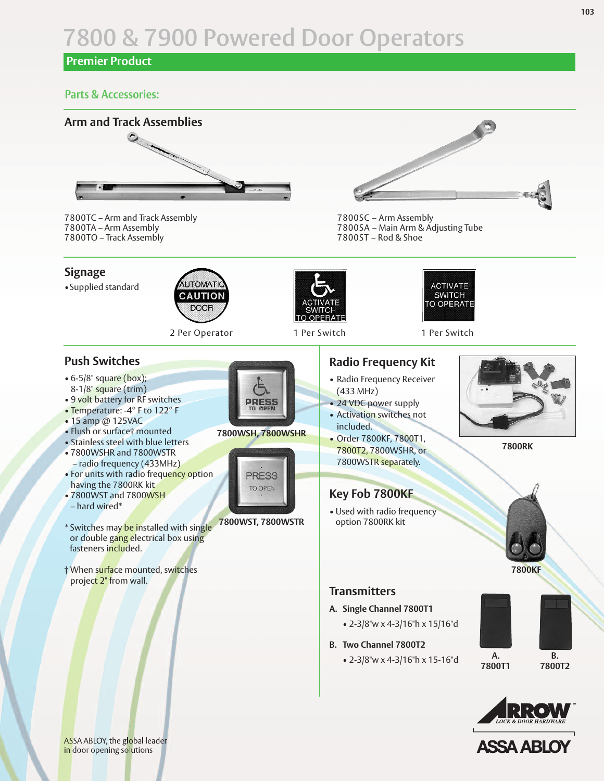# **Premier Product**

#### **Parts & Accessories:**



7800TC – Arm and Track Assembly 7800TA – Arm Assembly 7800TO – Track Assembly

#### **Signage**

•Supplied standard



2 Per Operator 1 Per Switch 1 Per Switch

#### **Push Switches**

- 6-5/8" square (box); 8-1/8" square (trim)
- 9 volt battery for RF switches
- Temperature: -4° F to 122° F
- 15 amp @ 125VAC
- Flush or surface† mounted
- Stainless steel with blue letters
- 7800WSHR and 7800WSTR – radio frequency (433MHz)
- For units with radio frequency option having the 7800RK kit
- 7800WST and 7800WSH – hard wired\*
- \* Switches may be installed with single or double gang electrical box using fasteners included.
- † When surface mounted, switches project 2" from wall.



#### **7800WSH, 7800WSHR**



# **7800WST, 7800WSTR**



7800SC – Arm Assembly 7800SA – Main Arm & Adjusting Tube 7800ST – Rod & Shoe



### **Radio Frequency Kit**

- Radio Frequency Receiver (433 MHz)
- 24 VDC power supply
- Activation switches not included.
- Order 7800KF, 7800T1, 7800T2, 7800WSHR, or 7800WSTR separately.



**7800RK**



• Used with radio frequency option 7800RK kit



**7800KF**

#### **Transmitters**

- **A. Single Channel 7800T1**
	- 2-3/8"w x 4-3/16"h x 15/16"d
- **B. Two Channel 7800T2**
	- 2-3/8"w x 4-3/16"h x 15-16"d

**A. 7800T1**

**B. 7800T2**





ASSA ABLOY, the global leader in door opening solutions